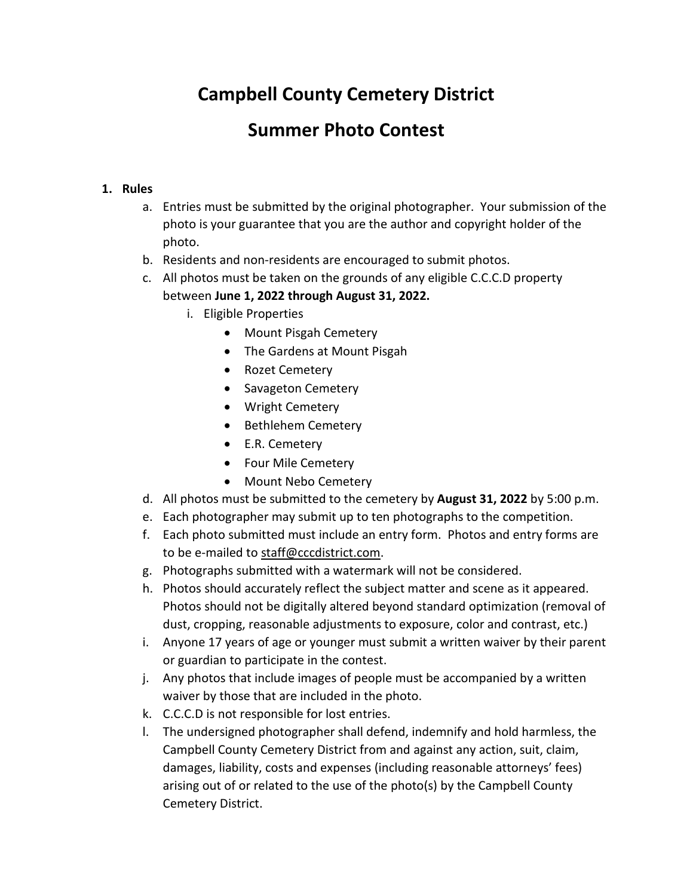# **Campbell County Cemetery District**

## **Summer Photo Contest**

#### **1. Rules**

- a. Entries must be submitted by the original photographer. Your submission of the photo is your guarantee that you are the author and copyright holder of the photo.
- b. Residents and non-residents are encouraged to submit photos.
- c. All photos must be taken on the grounds of any eligible C.C.C.D property
	- between **June 1, 2022 through August 31, 2022.**
		- i. Eligible Properties
			- Mount Pisgah Cemetery
			- The Gardens at Mount Pisgah
			- Rozet Cemetery
			- Savageton Cemetery
			- Wright Cemetery
			- Bethlehem Cemetery
			- E.R. Cemetery
			- Four Mile Cemetery
			- Mount Nebo Cemetery
- d. All photos must be submitted to the cemetery by **August 31, 2022** by 5:00 p.m.
- e. Each photographer may submit up to ten photographs to the competition.
- f. Each photo submitted must include an entry form. Photos and entry forms are to be e-mailed to [staff@cccdistrict.com.](mailto:staff@cccdistrict.com)
- g. Photographs submitted with a watermark will not be considered.
- h. Photos should accurately reflect the subject matter and scene as it appeared. Photos should not be digitally altered beyond standard optimization (removal of dust, cropping, reasonable adjustments to exposure, color and contrast, etc.)
- i. Anyone 17 years of age or younger must submit a written waiver by their parent or guardian to participate in the contest.
- j. Any photos that include images of people must be accompanied by a written waiver by those that are included in the photo.
- k. C.C.C.D is not responsible for lost entries.
- l. The undersigned photographer shall defend, indemnify and hold harmless, the Campbell County Cemetery District from and against any action, suit, claim, damages, liability, costs and expenses (including reasonable attorneys' fees) arising out of or related to the use of the photo(s) by the Campbell County Cemetery District.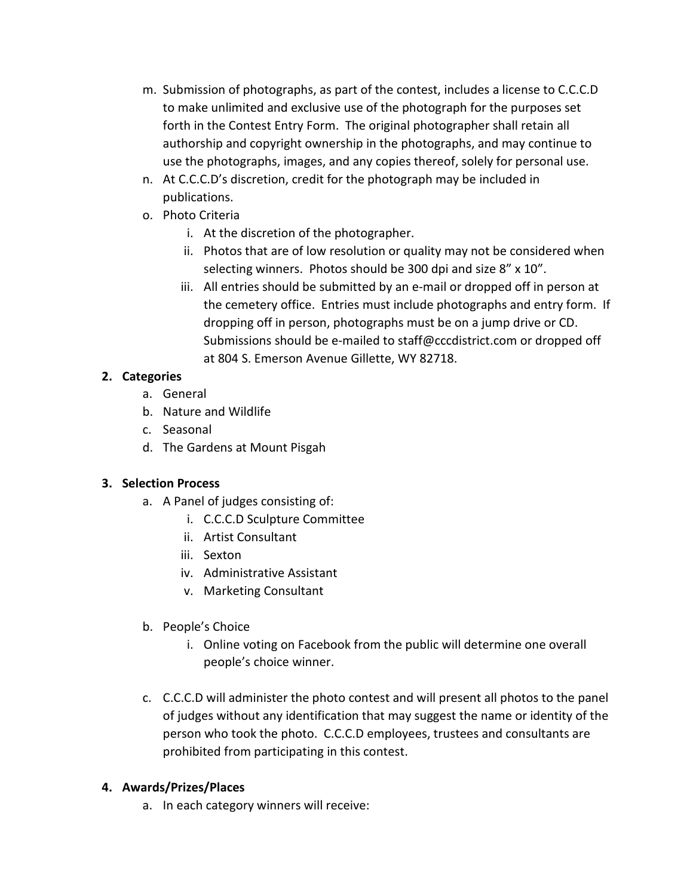- m. Submission of photographs, as part of the contest, includes a license to C.C.C.D to make unlimited and exclusive use of the photograph for the purposes set forth in the Contest Entry Form. The original photographer shall retain all authorship and copyright ownership in the photographs, and may continue to use the photographs, images, and any copies thereof, solely for personal use.
- n. At C.C.C.D's discretion, credit for the photograph may be included in publications.
- o. Photo Criteria
	- i. At the discretion of the photographer.
	- ii. Photos that are of low resolution or quality may not be considered when selecting winners. Photos should be 300 dpi and size 8" x 10".
	- iii. All entries should be submitted by an e-mail or dropped off in person at the cemetery office. Entries must include photographs and entry form. If dropping off in person, photographs must be on a jump drive or CD. Submissions should be e-mailed to [staff@cccdistrict.com](mailto:staff@cccdistrict.com) or dropped off at 804 S. Emerson Avenue Gillette, WY 82718.

#### **2. Categories**

- a. General
- b. Nature and Wildlife
- c. Seasonal
- d. The Gardens at Mount Pisgah

#### **3. Selection Process**

- a. A Panel of judges consisting of:
	- i. C.C.C.D Sculpture Committee
	- ii. Artist Consultant
	- iii. Sexton
	- iv. Administrative Assistant
	- v. Marketing Consultant
- b. People's Choice
	- i. Online voting on Facebook from the public will determine one overall people's choice winner.
- c. C.C.C.D will administer the photo contest and will present all photos to the panel of judges without any identification that may suggest the name or identity of the person who took the photo. C.C.C.D employees, trustees and consultants are prohibited from participating in this contest.

#### **4. Awards/Prizes/Places**

a. In each category winners will receive: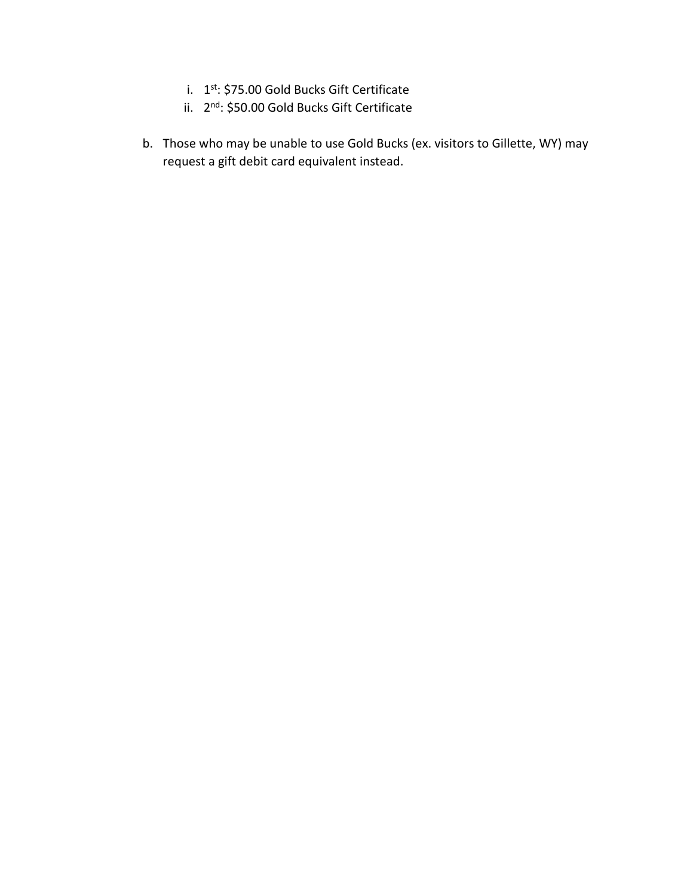- i. 1st: \$75.00 Gold Bucks Gift Certificate
- ii. 2nd: \$50.00 Gold Bucks Gift Certificate
- b. Those who may be unable to use Gold Bucks (ex. visitors to Gillette, WY) may request a gift debit card equivalent instead.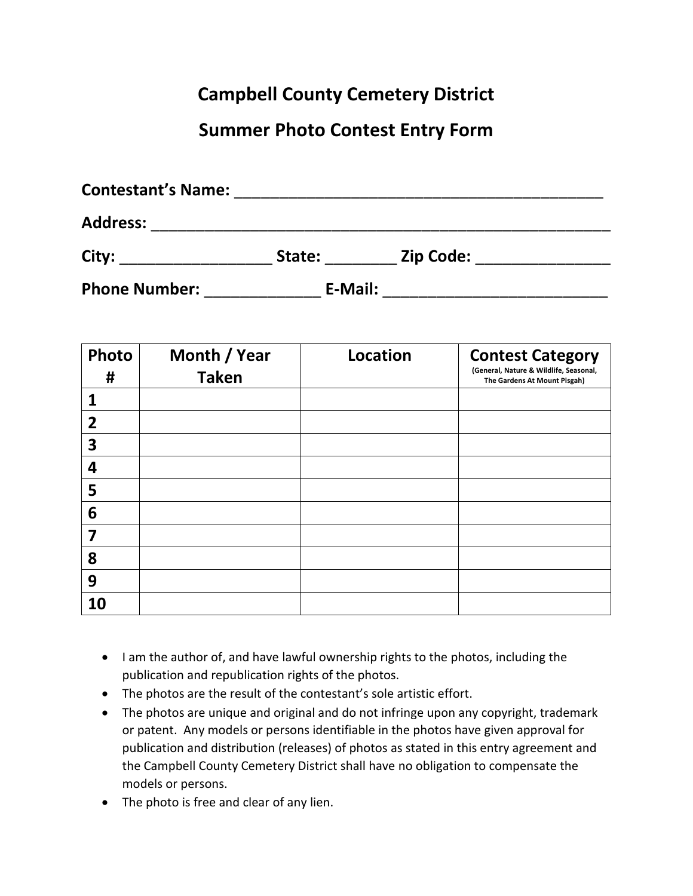# **Campbell County Cemetery District**

### **Summer Photo Contest Entry Form**

| <b>Contestant's Name:</b> |         |                  |  |
|---------------------------|---------|------------------|--|
| <b>Address:</b>           |         |                  |  |
| City:                     | State:  | <b>Zip Code:</b> |  |
| <b>Phone Number:</b>      | E-Mail: |                  |  |

| Photo          | Month / Year | <b>Location</b> | <b>Contest Category</b>                                                |
|----------------|--------------|-----------------|------------------------------------------------------------------------|
| #              | <b>Taken</b> |                 | (General, Nature & Wildlife, Seasonal,<br>The Gardens At Mount Pisgah) |
| 1              |              |                 |                                                                        |
| $\overline{2}$ |              |                 |                                                                        |
| 3              |              |                 |                                                                        |
| 4              |              |                 |                                                                        |
| 5              |              |                 |                                                                        |
| 6              |              |                 |                                                                        |
| 7              |              |                 |                                                                        |
| 8              |              |                 |                                                                        |
| 9              |              |                 |                                                                        |
| 10             |              |                 |                                                                        |

- I am the author of, and have lawful ownership rights to the photos, including the publication and republication rights of the photos.
- The photos are the result of the contestant's sole artistic effort.
- The photos are unique and original and do not infringe upon any copyright, trademark or patent. Any models or persons identifiable in the photos have given approval for publication and distribution (releases) of photos as stated in this entry agreement and the Campbell County Cemetery District shall have no obligation to compensate the models or persons.
- The photo is free and clear of any lien.